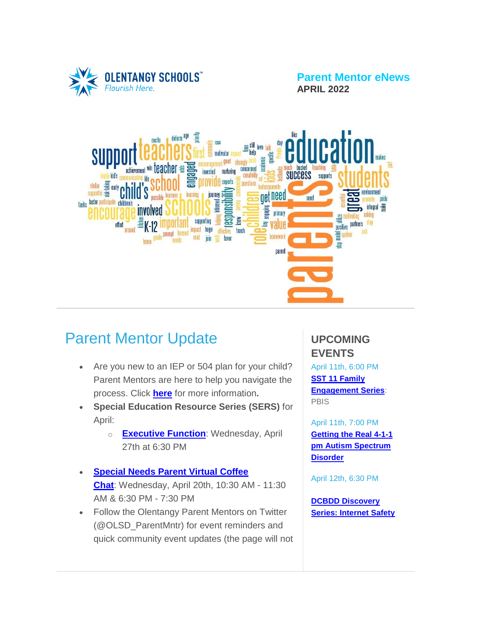

**Parent Mentor eNews APRIL 2022**



# Parent Mentor Update

- Are you new to an IEP or 504 plan for your child? Parent Mentors are here to help you navigate the process. Click **[here](https://www.olentangy.k12.oh.us/departments/pupil-services/parent-mentor-program)** for more information**.**
- **Special Education Resource Series (SERS)** for April:
	- o **[Executive](https://target.brightarrow.com/userfiles/3594-1/files/Invitation%20Flyer(3).pdf) Function**: Wednesday, April 27th at 6:30 PM
- **[Special](https://target.brightarrow.com/userfiles/3594-1/files/Virtual%20Coffee%20Chat%20Invite%20April%202022.pdf) Needs Parent Virtual Coffee [Chat](https://target.brightarrow.com/userfiles/3594-1/files/Virtual%20Coffee%20Chat%20Invite%20April%202022.pdf)**: Wednesday, April 20th, 10:30 AM - 11:30 AM & 6:30 PM - 7:30 PM
- Follow the Olentangy Parent Mentors on Twitter (@OLSD\_ParentMntr) for event reminders and quick community event updates (the page will not

### **UPCOMING EVENTS**

April 11th, 6:00 PM **SST 11 [Family](https://target.brightarrow.com/userfiles/3594-1/files/FamilyParent%20Engagement%20Series%2021-22.pdf) [Engagement](https://target.brightarrow.com/userfiles/3594-1/files/FamilyParent%20Engagement%20Series%2021-22.pdf) Series**: PBIS

April 11th, 7:00 PM **[Getting](https://target.brightarrow.com/userfiles/3594-1/files/411%20on%20Autism.pdf) the Real 4-1-1 pm Autism [Spectrum](https://target.brightarrow.com/userfiles/3594-1/files/411%20on%20Autism.pdf) [Disorder](https://target.brightarrow.com/userfiles/3594-1/files/411%20on%20Autism.pdf)**

April 12th, 6:30 PM

**DCBDD [Discovery](https://target.brightarrow.com/userfiles/3594-1/files/2022%20April%20Discovery%20Series%20Monthly%20Flyer.pdf) Series: [Internet](https://target.brightarrow.com/userfiles/3594-1/files/2022%20April%20Discovery%20Series%20Monthly%20Flyer.pdf) Safety**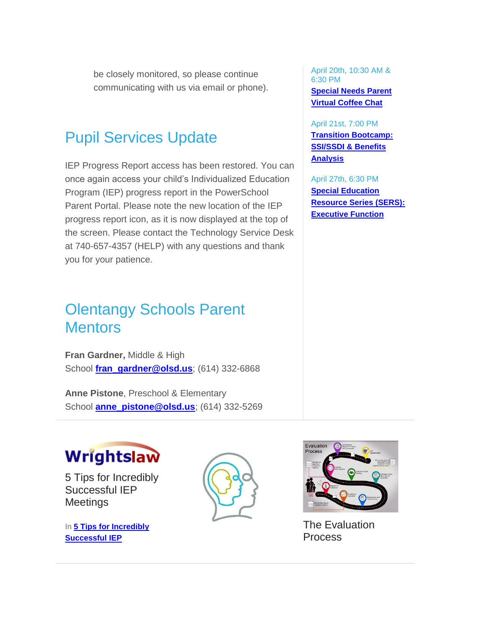be closely monitored, so please continue communicating with us via email or phone).

## Pupil Services Update

IEP Progress Report access has been restored. You can once again access your child's Individualized Education Program (IEP) progress report in the PowerSchool Parent Portal. Please note the new location of the IEP progress report icon, as it is now displayed at the top of the screen. Please contact the Technology Service Desk at 740-657-4357 (HELP) with any questions and thank you for your patience.

# Olentangy Schools Parent **Mentors**

**Fran Gardner,** Middle & High School **[fran\\_gardner@olsd.us](mailto:fran_gardner@olsd.us)**; (614) 332-6868

**Anne Pistone**, Preschool & Elementary School **[anne\\_pistone@olsd.us](mailto:anne_pistone@olsd.us)**; (614) 332-5269



5 Tips for Incredibly Successful IEP **Meetings** 

In **5 Tips for [Incredibly](https://www.wrightslaw.com/info/iep.mtg.5rules.htm) [Successful](https://www.wrightslaw.com/info/iep.mtg.5rules.htm) IEP**



April 20th, 10:30 AM & 6:30 PM

**[Special](https://target.brightarrow.com/userfiles/3594-1/files/Virtual%20Coffee%20Chat%20Invite%20April%202022.pdf) Needs Parent Virtual [Coffee](https://target.brightarrow.com/userfiles/3594-1/files/Virtual%20Coffee%20Chat%20Invite%20April%202022.pdf) Chat**

April 21st, 7:00 PM **Transition [Bootcamp:](https://target.brightarrow.com/userfiles/3594-1/files/2022%20April%20Transition%20Booster%20Session.pdf) [SSI/SSDI](https://target.brightarrow.com/userfiles/3594-1/files/2022%20April%20Transition%20Booster%20Session.pdf) & Benefits [Analysis](https://target.brightarrow.com/userfiles/3594-1/files/2022%20April%20Transition%20Booster%20Session.pdf)**

April 27th, 6:30 PM **Special [Education](https://target.brightarrow.com/userfiles/3594-1/files/Invitation%20Flyer(3).pdf) [Resource](https://target.brightarrow.com/userfiles/3594-1/files/Invitation%20Flyer(3).pdf) Series (SERS): [Executive](https://target.brightarrow.com/userfiles/3594-1/files/Invitation%20Flyer(3).pdf) Function**



The Evaluation Process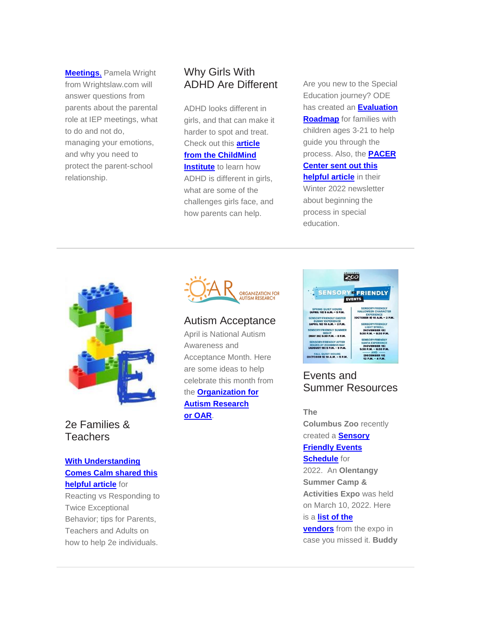**[Meetings](https://www.wrightslaw.com/info/iep.mtg.5rules.htm)**, Pamela Wright from Wrightslaw.com will answer questions from parents about the parental role at IEP meetings, what to do and not do, managing your emotions, and why you need to protect the parent-school relationship.

### Why Girls With ADHD Are Different

ADHD looks different in girls, and that can make it harder to spot and treat. Check out this **[article](https://childmind.org/article/how-to-help-girls-with-adhd/?utm_medium=email&utm_source=newsletter&utm_campaign=publ_ed_nl_2022-03-15&utm_content=how-to-help-girls-with-adhd) from the [ChildMind](https://childmind.org/article/how-to-help-girls-with-adhd/?utm_medium=email&utm_source=newsletter&utm_campaign=publ_ed_nl_2022-03-15&utm_content=how-to-help-girls-with-adhd) [Institute](https://childmind.org/article/how-to-help-girls-with-adhd/?utm_medium=email&utm_source=newsletter&utm_campaign=publ_ed_nl_2022-03-15&utm_content=how-to-help-girls-with-adhd)** to learn how ADHD is different in girls, what are some of the challenges girls face, and how parents can help.

Are you new to the Special Education journey? ODE has created an **[Evaluation](https://target.brightarrow.com/userfiles/3594-1/files/2022%20ODE%20evaluation-roadmap-final.pdf) [Roadmap](https://target.brightarrow.com/userfiles/3594-1/files/2022%20ODE%20evaluation-roadmap-final.pdf)** for families with children ages 3-21 to help guide you through the process. Also, the **[PACER](https://target.brightarrow.com/userfiles/3594-1/files/2022%20PACER%20Center%20SpEd%20Process%20Overview.pdf) [Center](https://target.brightarrow.com/userfiles/3594-1/files/2022%20PACER%20Center%20SpEd%20Process%20Overview.pdf) sent out this [helpful](https://target.brightarrow.com/userfiles/3594-1/files/2022%20PACER%20Center%20SpEd%20Process%20Overview.pdf) article** in their Winter 2022 newsletter about beginning the process in special education.



2e Families & **Teachers** 

#### **With [Understanding](https://www.withunderstandingcomescalm.com/reacting-vs-responding-to-twice-exceptional-behavior/) [Comes](https://www.withunderstandingcomescalm.com/reacting-vs-responding-to-twice-exceptional-behavior/) Calm shared this [helpful](https://www.withunderstandingcomescalm.com/reacting-vs-responding-to-twice-exceptional-behavior/) article** for

Reacting vs Responding to Twice Exceptional Behavior; tips for Parents, Teachers and Adults on how to help 2e individuals.



#### Autism Acceptance

April is National Autism Awareness and Acceptance Month. Here are some ideas to help celebrate this month from the **[Organization](https://researchautism.org/promote-autism-acceptance-with-oar-this-april/?utm_source=OARacle+Newsletter+Subscribers&utm_campaign=57dcb1e70b-OARacle+February+2022+Issue_COPY_01&utm_medium=email&utm_term=0_132914a232-57dcb1e70b-171483450) for Autism [Research](https://researchautism.org/promote-autism-acceptance-with-oar-this-april/?utm_source=OARacle+Newsletter+Subscribers&utm_campaign=57dcb1e70b-OARacle+February+2022+Issue_COPY_01&utm_medium=email&utm_term=0_132914a232-57dcb1e70b-171483450) or [OAR](https://researchautism.org/promote-autism-acceptance-with-oar-this-april/?utm_source=OARacle+Newsletter+Subscribers&utm_campaign=57dcb1e70b-OARacle+February+2022+Issue_COPY_01&utm_medium=email&utm_term=0_132914a232-57dcb1e70b-171483450)**.



### Events and Summer Resources

**The**

**Columbus Zoo** recently created a **[Sensory](https://target.brightarrow.com/userfiles/3594-1/files/Columbus%20Zoo%20Sensory%20Friendly%20Schedule.png) [Friendly](https://target.brightarrow.com/userfiles/3594-1/files/Columbus%20Zoo%20Sensory%20Friendly%20Schedule.png) Events [Schedule](https://target.brightarrow.com/userfiles/3594-1/files/Columbus%20Zoo%20Sensory%20Friendly%20Schedule.png)** for

2022. An **Olentangy Summer Camp & Activities Expo** was held on March 10, 2022. Here

#### is a **list of [the](https://target.brightarrow.com/userfiles/3594-1/files/2022%20Olentangy%20Summer%20Camp%20%26%20Activities%20Vendors%20(Public).pdf)**

**[vendors](https://target.brightarrow.com/userfiles/3594-1/files/2022%20Olentangy%20Summer%20Camp%20%26%20Activities%20Vendors%20(Public).pdf)** from the expo in case you missed it. **Buddy**